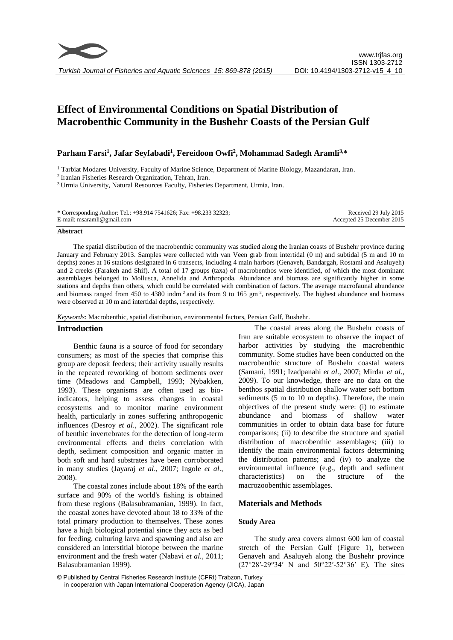# **Effect of Environmental Conditions on Spatial Distribution of Macrobenthic Community in the Bushehr Coasts of the Persian Gulf**

# **Parham Farsi<sup>1</sup> , Jafar Seyfabadi<sup>1</sup> , Fereidoon Owfi<sup>2</sup> , Mohammad Sadegh Aramli3,\***

<sup>1</sup> Tarbiat Modares University, Faculty of Marine Science, Department of Marine Biology, Mazandaran, Iran.

2 Iranian Fisheries Research Organization, Tehran, Iran.

<sup>3</sup> Urmia University, Natural Resources Faculty, Fisheries Department, Urmia, Iran.

\* Corresponding Author: Tel.: +98.914 7541626; Fax: +98.233 32323; E-mail: msaramli@gmail.com

Received 29 July 2015 Accepted 25 December 2015

### **Abstract**

The spatial distribution of the macrobenthic community was studied along the Iranian coasts of Bushehr province during January and February 2013. Samples were collected with van Veen grab from intertidal (0 m) and subtidal (5 m and 10 m depths) zones at 16 stations designated in 6 transects, including 4 main harbors (Genaveh, Bandargah, Rostami and Asaluyeh) and 2 creeks (Farakeh and Shif). A total of 17 groups (taxa) of macrobenthos were identified, of which the most dominant assemblages belonged to Mollusca, Annelida and Arthropoda. Abundance and biomass are significantly higher in some stations and depths than others, which could be correlated with combination of factors. The average macrofaunal abundance and biomass ranged from 450 to 4380 indm<sup>-2</sup> and its from 9 to 165 gm<sup>-2</sup>, respectively. The highest abundance and biomass were observed at 10 m and intertidal depths, respectively.

*Keywords*: Macrobenthic, spatial distribution, environmental factors, Persian Gulf, Bushehr.

# **Introduction**

Benthic fauna is a source of food for secondary consumers; as most of the species that comprise this group are deposit feeders; their activity usually results in the repeated reworking of bottom sediments over time (Meadows and Campbell, 1993; Nybakken, 1993). These organisms are often used as bioindicators, helping to assess changes in coastal ecosystems and to monitor marine environment health, particularly in zones suffering anthropogenic influences (Desroy *et al*., 2002). The significant role of benthic invertebrates for the detection of long-term environmental effects and theirs correlation with depth, sediment composition and organic matter in both soft and hard substrates have been corroborated in many studies (Jayaraj *et al*., 2007; Ingole *et al*., 2008).

The coastal zones include about 18% of the earth surface and 90% of the world's fishing is obtained from these regions (Balasubramanian, 1999). In fact, the coastal zones have devoted about 18 to 33% of the total primary production to themselves. These zones have a high biological potential since they acts as bed for feeding, culturing larva and spawning and also are considered an interstitial biotope between the marine environment and the fresh water (Nabavi *et al.,* 2011; Balasubramanian 1999).

The coastal areas along the Bushehr coasts of Iran are suitable ecosystem to observe the impact of harbor activities by studying the macrobenthic community. Some studies have been conducted on the macrobenthic structure of Bushehr coastal waters (Samani, 1991; Izadpanahi *et al*., 2007; Mirdar *et al*., 2009). To our knowledge, there are no data on the benthos spatial distribution shallow water soft bottom sediments (5 m to 10 m depths). Therefore, the main objectives of the present study were: (i) to estimate abundance and biomass of shallow water communities in order to obtain data base for future comparisons; (ii) to describe the structure and spatial distribution of macrobenthic assemblages; (iii) to identify the main environmental factors determining the distribution patterns; and (iv) to analyze the environmental influence (e.g., depth and sediment characteristics) on the structure of the macrozoobenthic assemblages.

# **Materials and Methods**

# **Study Area**

The study area covers almost 600 km of coastal stretch of the Persian Gulf (Figure 1), between Genaveh and Asaluyeh along the Bushehr province (27°28′-29°34′ N and 50°22′-52°36′ E). The sites

<sup>©</sup> Published by Central Fisheries Research Institute (CFRI) Trabzon, Turkey in cooperation with Japan International Cooperation Agency (JICA), Japan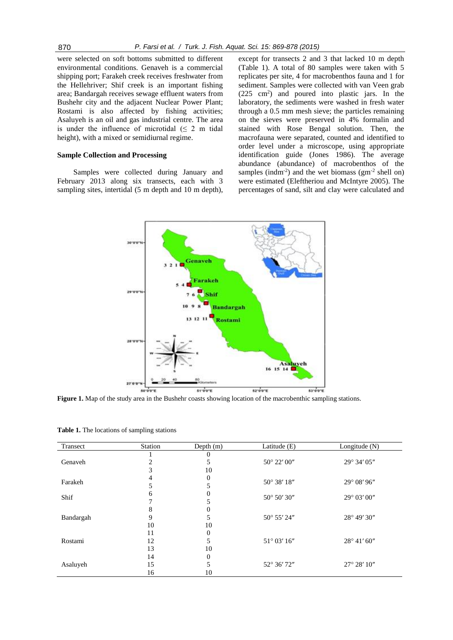were selected on soft bottoms submitted to different environmental conditions. Genaveh is a commercial shipping port; Farakeh creek receives freshwater from the Hellehriver; Shif creek is an important fishing area; Bandargah receives sewage effluent waters from Bushehr city and the adjacent Nuclear Power Plant; Rostami is also affected by fishing activities; Asaluyeh is an oil and gas industrial centre. The area is under the influence of microtidal  $( \leq 2 \text{ m} \text{ tidal})$ height), with a mixed or semidiurnal regime.

# **Sample Collection and Processing**

Samples were collected during January and February 2013 along six transects, each with 3 sampling sites, intertidal (5 m depth and 10 m depth),

except for transects 2 and 3 that lacked 10 m depth (Table 1). A total of 80 samples were taken with 5 replicates per site, 4 for macrobenthos fauna and 1 for sediment. Samples were collected with van Veen grab (225 cm<sup>2</sup>) and poured into plastic jars. In the laboratory, the sediments were washed in fresh water through a 0.5 mm mesh sieve; the particles remaining on the sieves were preserved in 4% formalin and stained with Rose Bengal solution. Then, the macrofauna were separated, counted and identified to order level under a microscope, using appropriate identification guide (Jones 1986). The average abundance (abundance) of macrobenthos of the samples (indm<sup>-2</sup>) and the wet biomass ( $gm^{-2}$  shell on) were estimated (Eleftheriou and McIntyre 2005). The percentages of sand, silt and clay were calculated and



**Figure 1.** Map of the study area in the Bushehr coasts showing location of the macrobenthic sampling stations.

|  |  | Table 1. The locations of sampling stations |  |
|--|--|---------------------------------------------|--|
|--|--|---------------------------------------------|--|

| Transect  | Station | Depth $(m)$    | Latitude (E) | Longitude $(N)$       |
|-----------|---------|----------------|--------------|-----------------------|
|           |         | $\theta$       |              |                       |
| Genaveh   |         | 5              | 50° 22' 00"  | 29° 34' 05"           |
|           | 3       | 10             |              |                       |
| Farakeh   | 4       | $\overline{0}$ | 50° 38' 18"  | 29° 08' 96"           |
|           | 5       | 5              |              |                       |
| Shif      | 6       | $\theta$       | 50° 50′ 30″  | 29° 03' 00"           |
|           |         | 5              |              |                       |
|           | 8       | $\overline{0}$ |              |                       |
| Bandargah | 9       | 5              | 50° 55' 24"  | 28° 49' 30"           |
|           | 10      | 10             |              |                       |
|           | 11      | $\overline{0}$ |              |                       |
| Rostami   | 12      | 5              | 51° 03' 16"  | $28^{\circ}$ 41' 60"  |
|           | 13      | 10             |              |                       |
| Asaluyeh  | 14      | $\overline{0}$ |              |                       |
|           | 15      | 5              | 52° 36' 72"  | $27^{\circ} 28' 10''$ |
|           | 16      | 10             |              |                       |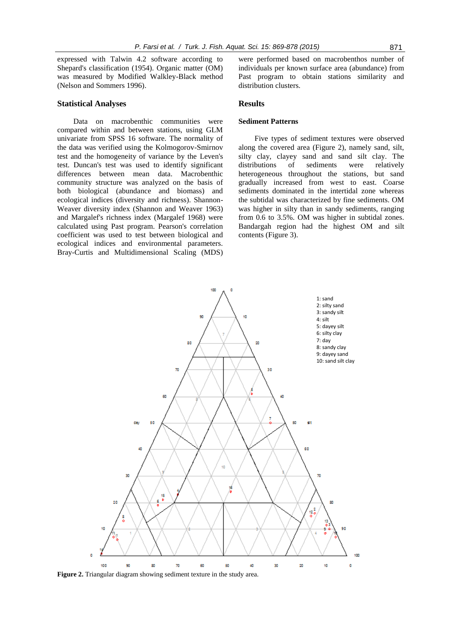expressed with Talwin 4.2 software according to Shepard's classification (1954). Organic matter (OM) was measured by Modified Walkley-Black method (Nelson and Sommers 1996).

# **Statistical Analyses**

Data on macrobenthic communities were compared within and between stations, using GLM univariate from SPSS 16 software. The normality of the data was verified using the Kolmogorov-Smirnov test and the homogeneity of variance by the Leven's test. Duncan's test was used to identify significant differences between mean data. Macrobenthic community structure was analyzed on the basis of both biological (abundance and biomass) and ecological indices (diversity and richness). Shannon-Weaver diversity index (Shannon and Weaver 1963) and Margalef's richness index (Margalef 1968) were calculated using Past program. Pearson's correlation coefficient was used to test between biological and ecological indices and environmental parameters. Bray-Curtis and Multidimensional Scaling (MDS) were performed based on macrobenthos number of individuals per known surface area (abundance) from Past program to obtain stations similarity and distribution clusters.

# **Results**

# **Sediment Patterns**

Five types of sediment textures were observed along the covered area (Figure 2), namely sand, silt, silty clay, clayey sand and sand silt clay. The distributions of sediments were relatively heterogeneous throughout the stations, but sand gradually increased from west to east. Coarse sediments dominated in the intertidal zone whereas the subtidal was characterized by fine sediments. OM was higher in silty than in sandy sediments, ranging from 0.6 to 3.5%. OM was higher in subtidal zones. Bandargah region had the highest OM and silt contents (Figure 3).



**Figure 2.** Triangular diagram showing sediment texture in the study area.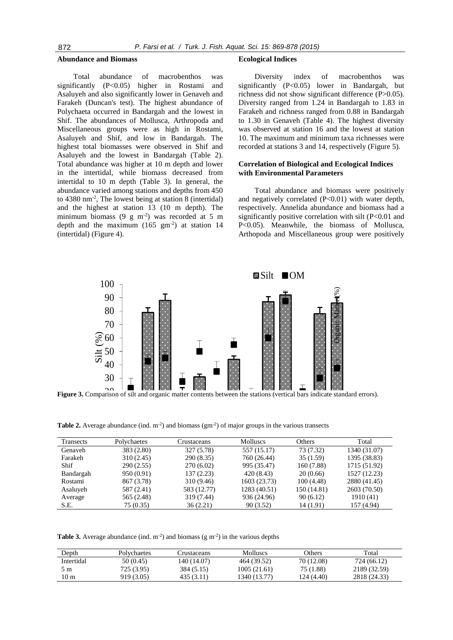#### **Abundance and Biomass**

Total abundance of macrobenthos was significantly (P<0.05) higher in Rostami and Asaluyeh and also significantly lower in Genaveh and Farakeh (Duncan's test). The highest abundance of Polychaeta occurred in Bandargah and the lowest in Shif. The abundances of Mollusca, Arthropoda and Miscellaneous groups were as high in Rostami, Asaluyeh and Shif, and low in Bandargah. The highest total biomasses were observed in Shif and Asaluyeh and the lowest in Bandargah (Table 2). Total abundance was higher at 10 m depth and lower in the intertidal, while biomass decreased from intertidal to 10 m depth (Table 3). In general, the abundance varied among stations and depths from 450 to 4380 nm-2 , The lowest being at station 8 (intertidal) and the highest at station 13 (10 m depth). The minimum biomass  $(9 \text{ g m}^{-2})$  was recorded at 5 m depth and the maximum  $(165 \text{ gm}^2)$  at station 14 (intertidal) (Figure 4).

#### **Ecological Indices**

Diversity index of macrobenthos was significantly (P<0.05) lower in Bandargah, but richness did not show significant difference (P>0.05). Diversity ranged from 1.24 in Bandargah to 1.83 in Farakeh and richness ranged from 0.88 in Bandargah to 1.30 in Genaveh (Table 4). The highest diversity was observed at station 16 and the lowest at station 10. The maximum and minimum taxa richnesses were recorded at stations 3 and 14, respectively (Figure 5).

# **Correlation of Biological and Ecological Indices with Environmental Parameters**

Total abundance and biomass were positively and negatively correlated (P<0.01) with water depth, respectively. Annelida abundance and biomass had a significantly positive correlation with silt (P<0.01 and P<0.05). Meanwhile, the biomass of Mollusca, Arthopoda and Miscellaneous group were positively



**Figure 3.** Comparison of silt and organic matter contents between the stations (vertical bars indicate standard errors).

**Table 2.** Average abundance (ind.  $m^2$ ) and biomass ( $gm^2$ ) of major groups in the various transects

| Transects | Polychaetes | Crustaceans |              | Others      | Total        |
|-----------|-------------|-------------|--------------|-------------|--------------|
| Genaveh   | 383 (2.80)  | 327 (5.78)  | 557 (15.17)  | 73 (7.32)   | 1340 (31.07) |
| Farakeh   | 310(2.45)   | 290 (8.35)  | 760 (26.44)  | 35(1.59)    | 1395 (38.83) |
| Shif      | 290(2.55)   | 270(6.02)   | 995 (35.47)  | 160 (7.88)  | 1715 (51.92) |
| Bandargah | 950 (0.91)  | 137(2.23)   | 420 (8.43)   | 20(0.66)    | 1527 (12.23) |
| Rostami   | 867 (3.78)  | 310 (9.46)  | 1603 (23.73) | 100(4.48)   | 2880 (41.45) |
| Asaluyeh  | 587 (2.41)  | 583 (12.77) | 1283 (40.51) | 150 (14.81) | 2603 (70.50) |
| Average   | 565 (2.48)  | 319 (7.44)  | 936 (24.96)  | 90(6.12)    | 1910 (41)    |
| S.E.      | 75 (0.35)   | 36(2.21)    | 90(3.52)     | 14 (1.91)   | 157 (4.94)   |

**Table 3.** Average abundance (ind.  $m<sup>-2</sup>$ ) and biomass (g  $m<sup>-2</sup>$ ) in the various depths

| Depth      | Polvchaetes | Crustaceans | <b>Molluscs</b> | Others     | Total        |
|------------|-------------|-------------|-----------------|------------|--------------|
| Intertidal | 50 (0.45)   | 140 (14.07) | 464 (39.52)     | 70 (12.08) | 724 (66.12)  |
| 5 m        | 725 (3.95)  | 384 (5.15)  | 1005(21.61)     | 75 (1.88)  | 2189 (32.59) |
| 10 m       | 919 (3.05)  | 435 (3.11)  | 1340 (13.77)    | 124 (4.40) | 2818 (24.33) |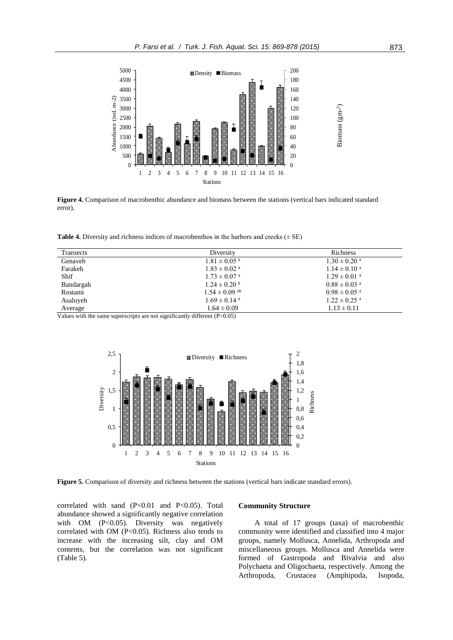

**Figure 4.** Comparison of macrobenthic abundance and biomass between the stations (vertical bars indicated standard error).

**Table 4.** Diversity and richness indices of macrobenthos in the harbors and creeks  $(\pm SE)$ 

| Transects | Diversity                    | Richness                     |
|-----------|------------------------------|------------------------------|
| Genaveh   | $1.81 \pm 0.05$ <sup>a</sup> | $1.30 \pm 0.20$ <sup>a</sup> |
| Farakeh   | $1.83 \pm 0.02$ <sup>a</sup> | $1.14 \pm 0.10^{\text{ a}}$  |
| Shif      | $1.73 \pm 0.07$ <sup>a</sup> | $1.29 \pm 0.01$ <sup>a</sup> |
| Bandargah | $1.24 \pm 0.20$ b            | $0.88 \pm 0.03$ <sup>a</sup> |
| Rostami   | $1.54 \pm 0.09$ ab           | $0.98 \pm 0.05$ <sup>a</sup> |
| Asaluyeh  | $1.69 \pm 0.14$ <sup>a</sup> | $1.22 \pm 0.25$ <sup>a</sup> |
| Average   | $1.64 \pm 0.09$              | $1.13 \pm 0.11$              |

Values with the same superscripts are not significantly different (P>0.05)



correlated with sand  $(P<0.01$  and  $P<0.05$ ). Total abundance showed a significantly negative correlation with OM (P<0.05). Diversity was negatively correlated with OM (P<0.05). Richness also tends to increase with the increasing silt, clay and OM contents, but the correlation was not significant (Table 5).

## **Community Structure**

A total of 17 groups (taxa) of macrobenthic community were identified and classified into 4 major groups, namely Mollusca, Annelida, Arthropoda and miscellaneous groups. Mollusca and Annelida were formed of Gastropoda and Bivalvia and also Polychaeta and Oligochaeta, respectively. Among the Arthropoda, Crustacea (Amphipoda, Isopoda,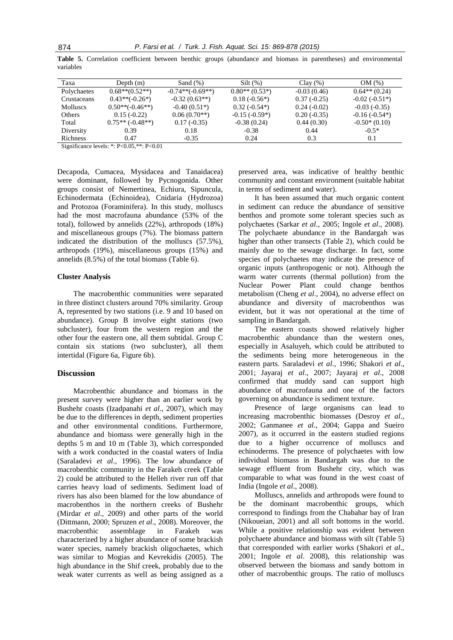|           |  |  |  |  |  | Table 5. Correlation coefficient between benthic groups (abundance and biomass in parentheses) and environmental |
|-----------|--|--|--|--|--|------------------------------------------------------------------------------------------------------------------|
| variables |  |  |  |  |  |                                                                                                                  |

| Taxa            | Depth $(m)$         | Sand $(\%)$        | $Silt(\%)$       | Clav(%)       | OM(%)           |
|-----------------|---------------------|--------------------|------------------|---------------|-----------------|
| Polychaetes     | $0.68**$ $(0.52**)$ | $-0.74**(-0.69**)$ | $0.80**$ (0.53*) | $-0.03(0.46)$ | $0.64**$ (0.24) |
| Crustaceans     | $0.43**(-0.26*)$    | $-0.32(0.63**)$    | $0.18(-0.56*)$   | $0.37(-0.25)$ | $-0.02(-0.51*)$ |
| <b>Molluscs</b> | $0.50**(-0.46**)$   | $-0.40(0.51*)$     | $0.32(-0.54*)$   | $0.24(-0.02)$ | $-0.03(-0.35)$  |
| Others          | $0.15(-0.22)$       | $0.06(0.70**)$     | $-0.15(-0.59*)$  | $0.20(-0.35)$ | $-0.16(-0.54*)$ |
| Total           | $0.75**(-0.48**)$   | $0.17(-0.35)$      | $-0.38(0.24)$    | 0.44(0.30)    | $-0.50*(0.10)$  |
| Diversity       | 0.39                | 0.18               | $-0.38$          | 0.44          | $-0.5*$         |
| <b>Richness</b> | 0.47                | $-0.35$            | 0.24             | 0.3           | 0.1             |
|                 |                     |                    |                  |               |                 |

Significance levels: \*: P<0.05,\*\*: P<0.01

Decapoda, Cumacea, Mysidacea and Tanaidacea) were dominant, followed by Pycnogonida. Other groups consist of Nemertinea, Echiura, Sipuncula, Echinodermata (Echinoidea), Cnidaria (Hydrozoa) and Protozoa (Foraminifera). In this study, molluscs had the most macrofauna abundance (53% of the total), followed by annelids (22%), arthropods (18%) and miscellaneous groups (7%). The biomass pattern indicated the distribution of the molluscs (57.5%), arthropods (19%), miscellaneous groups (15%) and annelids (8.5%) of the total biomass (Table 6).

#### **Cluster Analysis**

The macrobenthic communities were separated in three distinct clusters around 70% similarity. Group A, represented by two stations (i.e. 9 and 10 based on abundance). Group B involve eight stations (two subcluster), four from the western region and the other four the eastern one, all them subtidal. Group C contain six stations (two subcluster), all them intertidal (Figure 6a, Figure 6b).

### **Discussion**

Macrobenthic abundance and biomass in the present survey were higher than an earlier work by Bushehr coasts (Izadpanahi *et al*., 2007), which may be due to the differences in depth, sediment properties and other environmental conditions. Furthermore, abundance and biomass were generally high in the depths 5 m and 10 m (Table 3), which corresponded with a work conducted in the coastal waters of India (Saraladevi *et al*., 1996). The low abundance of macrobenthic community in the Farakeh creek (Table 2) could be attributed to the Helleh river run off that carries heavy load of sediments. Sediment load of rivers has also been blamed for the low abundance of macrobenthos in the northern creeks of Bushehr (Mirdar *et al*., 2009) and other parts of the world (Dittmann, 2000; Spruzen *et al*., 2008). Moreover, the macrobenthic assemblage in Farakeh was characterized by a higher abundance of some brackish water species, namely brackish oligochaetes, which was similar to Mogias and Kevrekidis (2005). The high abundance in the Shif creek, probably due to the weak water currents as well as being assigned as a preserved area, was indicative of healthy benthic community and constant environment (suitable habitat in terms of sediment and water).

It has been assumed that much organic content in sediment can reduce the abundance of sensitive benthos and promote some tolerant species such as polychaetes (Sarkar *et al*., 2005; Ingole *et al*., 2008). The polychaete abundance in the Bandargah was higher than other transects (Table 2), which could be mainly due to the sewage discharge. In fact, some species of polychaetes may indicate the presence of organic inputs (anthropogenic or not). Although the warm water currents (thermal pollution) from the Nuclear Power Plant could change benthos metabolism (Cheng *et al*., 2004), no adverse effect on abundance and diversity of macrobenthos was evident, but it was not operational at the time of sampling in Bandargah.

The eastern coasts showed relatively higher macrobenthic abundance than the western ones, especially in Asaluyeh, which could be attributed to the sediments being more heterogeneous in the eastern parts. Saraladevi *et al*., 1996; Shakori *et al*., 2001; Jayaraj *et al*., 2007; Jayaraj *et al*., 2008 confirmed that muddy sand can support high abundance of macrofauna and one of the factors governing on abundance is sediment texture.

Presence of large organisms can lead to increasing macrobenthic biomasses (Desroy *et al*., 2002; Ganmanee *et al*., 2004; Gappa and Sueiro 2007), as it occurred in the eastern studied regions due to a higher occurrence of molluscs and echinoderms. The presence of polychaetes with low individual biomass in Bandargah was due to the sewage effluent from Bushehr city, which was comparable to what was found in the west coast of India (Ingole *et al*., 2008).

Molluscs, annelids and arthropods were found to be the dominant macrobenthic groups, which correspond to findings from the Chabahar bay of Iran (Nikoueian, 2001) and all soft bottoms in the world. While a positive relationship was evident between polychaete abundance and biomass with silt (Table 5) that corresponded with earlier works (Shakori *et al*., 2001; Ingole *et al*. 2008), this relationship was observed between the biomass and sandy bottom in other of macrobenthic groups. The ratio of molluscs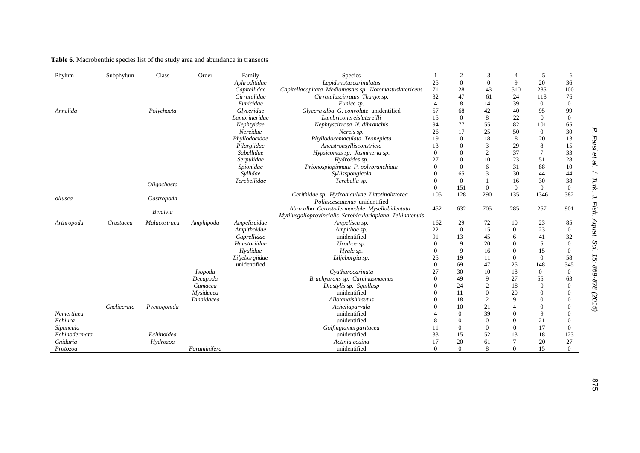# **Table 6.** Macrobenthic species list of the study area and abundance in transects

| Phylum        | Subphylum   | Class        | Order          | Family         | Species                                                                                                    |                | $\mathfrak{2}$ | 3              | 4              | 5                | 6                |
|---------------|-------------|--------------|----------------|----------------|------------------------------------------------------------------------------------------------------------|----------------|----------------|----------------|----------------|------------------|------------------|
|               |             |              |                | Aphroditidae   | Lepidonotuscarinulatus                                                                                     | 25             | $\Omega$       | $\Omega$       | 9              | 20               | 36               |
|               |             |              |                | Capitellidae   | Capitellacapitata-Mediomastus sp.-Notomastuslatericeus                                                     | 71             | 28             | 43             | 510            | 285              | 100              |
|               |             |              |                | Cirratulidae   | Cirratuluscirratus-Thanyx sp.                                                                              | 32             | 47             | 61             | 24             | 118              | 76               |
|               |             |              |                | Eunicidae      | Eunice sp.                                                                                                 | $\overline{4}$ | 8              | 14             | 39             | $\boldsymbol{0}$ | $\theta$         |
| Annelida      |             | Polychaeta   |                | Glyceridae     | Glycera alba-G. convolute-unidentified                                                                     | 57             | 68             | 42             | 40             | 95               | 99               |
|               |             |              |                | Lumbrineridae  | Lumbriconereislatereilli                                                                                   | 15             | $\mathbf{0}$   | 8              | 22             | $\mathbf{0}$     | $\mathbf{0}$     |
|               |             |              |                | Nephtyidae     | Nephtyscirrosa-N. dibranchis                                                                               | 94             | 77             | 55             | 82             | 101              | 65               |
|               |             |              |                | Nereidae       | Nereis sp.                                                                                                 | 26             | 17             | 25             | 50             | $\overline{0}$   | 30               |
|               |             |              |                | Phyllodocidae  | Phyllodocemaculata-Teonepicta                                                                              | 19             | $\Omega$       | 18             | 8              | 20               | 13               |
|               |             |              |                | Pilargiidae    | Ancistronsyllisconstricta                                                                                  | 13             |                | 3              | 29             | 8                | 15               |
|               |             |              |                | Sabellidae     | Hypsicomus sp.-Jasmineria sp.                                                                              | $\Omega$       |                | 2              | 37             | $\overline{7}$   | 33               |
|               |             |              |                | Serpulidae     | Hydroides sp.                                                                                              | 27             |                | 10             | 23             | 51               | 28               |
|               |             |              |                | Spionidae      | Prionospiopinnata-P. polybranchiata                                                                        | $\theta$       |                | 6              | 31             | 88               | 10               |
|               |             |              |                | Syllidae       | Syllisspongicola                                                                                           | $\theta$       | 65             | 3              | 30             | 44               | 44               |
|               |             | Oligochaeta  |                | Terebellidae   | Terebella sp.                                                                                              | $\Omega$       | $\Omega$       |                | 16             | 30               | 38               |
|               |             |              |                |                |                                                                                                            | $\mathbf{0}$   | 151            | $\overline{0}$ | $\mathbf{0}$   | $\mathbf{0}$     | $\overline{0}$   |
| ollusca       |             | Gastropoda   |                |                | Cerithidae sp.-Hydrobiaulvae-Littotinalittorea-<br>Polinicescatenus-unidentified                           | 105            | 128            | 290            | 135            | 1346             | 382              |
|               |             | Bivalvia     |                |                | Abra alba-Cerastodermaedule-Mysellabidentata-<br>Mytilusgalloprovincialis-Scrobiculariaplana-Tellinatenuis | 452            | 632            | 705            | 285            | 257              | 901              |
| Arthropoda    | Crustacea   | Malacostraca | Amphipoda      | Ampeliscidae   | Ampelisca sp.                                                                                              | 162            | 29             | 72             | 10             | 23               | 85               |
|               |             |              |                | Ampithoidae    | Ampithoe sp.                                                                                               | 22             | $\Omega$       | 15             | $\Omega$       | 23               | $\theta$         |
|               |             |              |                | Caprellidae    | unidentified                                                                                               | 91             | 13             | 45             | 6              | 41               | 32               |
|               |             |              |                | Haustoriidae   | Urothoe sp.                                                                                                | $\Omega$       | $\mathbf Q$    | 20             | $\Omega$       | 5                | $\mathbf{0}$     |
|               |             |              |                | Hyalidae       | Hyale sp.                                                                                                  | $\overline{0}$ | $\mathbf Q$    | 16             | $\theta$       | 15               | $\boldsymbol{0}$ |
|               |             |              |                | Liljeborgiidae | Liljeborgia sp.                                                                                            | 25             | 19             | 11             | $\overline{0}$ | $\overline{0}$   | 58               |
|               |             |              |                | unidentified   |                                                                                                            | $\Omega$       | 69             | 47             | 25             | 148              | 345              |
|               |             |              | <i>Isopoda</i> |                | Cyathuracarinata                                                                                           | 27             | 30             | 10             | 18             | $\mathbf{0}$     | $\mathbf{0}$     |
|               |             |              | Decapoda       |                | Brachyurans sp.-Carcinusmaenas                                                                             | $\Omega$       | 49             | 9              | 27             | 55               | 63               |
|               |             |              | Cumacea        |                | Diastylis sp.-Squillasp                                                                                    | $\Omega$       | 24             | $\overline{c}$ | 18             | $\overline{0}$   | $\overline{0}$   |
|               |             |              | Mysidacea      |                | unidentified                                                                                               | $\theta$       | 11             | $\Omega$       | 20             | $\mathbf{0}$     | 0                |
|               |             |              | Tanaidacea     |                | Allotanaishirsutus                                                                                         | $\Omega$       | 18             | $\overline{c}$ | 9              | $\mathbf{0}$     | $\overline{0}$   |
|               | Chelicerata | Pycnogonida  |                |                | Acheliaparvula                                                                                             | $\Omega$       | 10             | 21             | 4              | $\overline{0}$   | $\Omega$         |
| Nemertinea    |             |              |                |                | unidentified                                                                                               |                | $\Omega$       | 39             | $\Omega$       | 9                | $\Omega$         |
| Echiura       |             |              |                |                | unidentified                                                                                               | 8              | $\Omega$       | $\Omega$       | $\Omega$       | 21               | $\theta$         |
| Sipuncula     |             |              |                |                | Golfingiamargaritacea                                                                                      | 11             | $\Omega$       | 0              | $\Omega$       | 17               | $\overline{0}$   |
| Echinodermata |             | Echinoidea   |                |                | unidentified                                                                                               | 33             | 15             | 52             | 13             | 18               | 123              |
| Cnidaria      |             | Hydrozoa     |                |                | Actinia ecuina                                                                                             | 17             | 20             | 61             | $\overline{7}$ | 20               | 27               |
| Protozoa      |             |              | Foraminifera   |                | unidentified                                                                                               | $\Omega$       | $\Omega$       | 8              | $\Omega$       | 15               | $\Omega$         |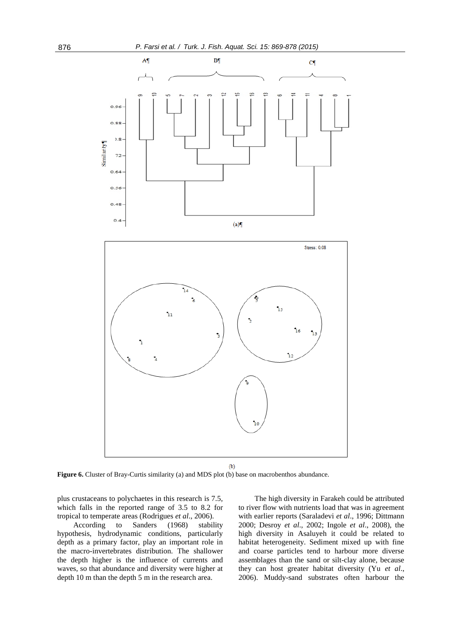

**Figure 6.** Cluster of Bray-Curtis similarity (a) and MDS plot (b) base on macrobenthos abundance.

plus crustaceans to polychaetes in this research is 7.5, which falls in the reported range of 3.5 to 8.2 for tropical to temperate areas (Rodrigues *et al*., 2006).

According to Sanders (1968) stability hypothesis, hydrodynamic conditions, particularly depth as a primary factor, play an important role in the macro-invertebrates distribution. The shallower the depth higher is the influence of currents and waves, so that abundance and diversity were higher at depth 10 m than the depth 5 m in the research area.

The high diversity in Farakeh could be attributed to river flow with nutrients load that was in agreement with earlier reports (Saraladevi *et al*., 1996; Dittmann 2000; Desroy *et al*., 2002; Ingole *et al*., 2008), the high diversity in Asaluyeh it could be related to habitat heterogeneity. Sediment mixed up with fine and coarse particles tend to harbour more diverse assemblages than the sand or silt-clay alone, because they can host greater habitat diversity (Yu *et al*., 2006). Muddy-sand substrates often harbour the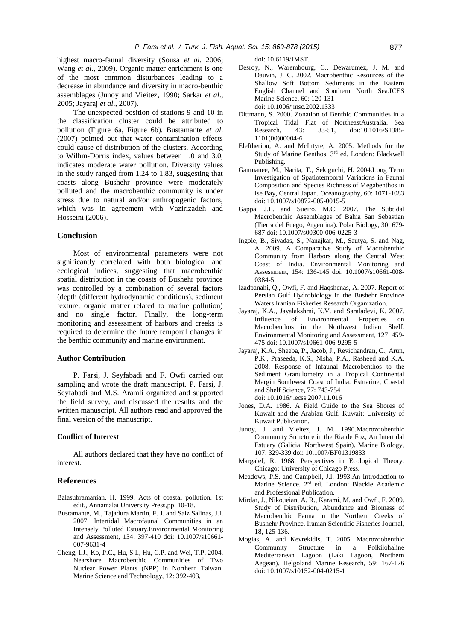highest macro-faunal diversity (Sousa *et al*. 2006; Wang *et al*., 2009). Organic matter enrichment is one of the most common disturbances leading to a decrease in abundance and diversity in macro-benthic assemblages (Junoy and Vieitez, 1990; Sarkar *et al*., 2005; Jayaraj *et al*., 2007).

The unexpected position of stations 9 and 10 in the classification cluster could be attributed to pollution (Figure 6a, Figure 6b). Bustamante *et al*. (2007) pointed out that water contamination effects could cause of distribution of the clusters. According to Wilhm-Dorris index, values between 1.0 and 3.0, indicates moderate water pollution. Diversity values in the study ranged from 1.24 to 1.83, suggesting that coasts along Bushehr province were moderately polluted and the macrobenthic community is under stress due to natural and/or anthropogenic factors, which was in agreement with Vazirizadeh and Hosseini (2006).

# **Conclusion**

Most of environmental parameters were not significantly correlated with both biological and ecological indices, suggesting that macrobenthic spatial distribution in the coasts of Bushehr province was controlled by a combination of several factors (depth (different hydrodynamic conditions), sediment texture, organic matter related to marine pollution) and no single factor. Finally, the long-term monitoring and assessment of harbors and creeks is required to determine the future temporal changes in the benthic community and marine environment.

# **Author Contribution**

P. Farsi, J. Seyfabadi and F. Owfi carried out sampling and wrote the draft manuscript. P. Farsi, J. Seyfabadi and M.S. Aramli organized and supported the field survey, and discussed the results and the written manuscript. All authors read and approved the final version of the manuscript.

### **Conflict of Interest**

All authors declared that they have no conflict of interest.

# **References**

- Balasubramanian, H. 1999. Acts of coastal pollution. 1st edit., Annamalai University Press,pp. 10-18.
- Bustamante, M., Tajadura Martin, F. J. and Saiz Salinas, J.I. 2007. Intertidal Macrofaunal Communities in an Intensely Polluted Estuary.Environmental Monitoring and Assessment, 134: 397-410 doi: 10.1007/s10661- 007-9631-4
- Cheng, I.J., Ko, P.C., Hu, S.I., Hu, C.P. and Wei, T.P. 2004. Nearshore Macrobenthic Communities of Two Nuclear Power Plants (NPP) in Northern Taiwan. Marine Science and Technology, 12: 392-403,

doi: [10.6119/JMST.](http://www.airitilibrary.com/Publication/PublicationIndex/10232796)

- Desroy, N., Warembourg, C., Dewarumez, J. M. and Dauvin, J. C. 2002. Macrobenthic Resources of the Shallow Soft Bottom Sediments in the Eastern English Channel and Southern North Sea.ICES Marine Science, 60: 120-131 doi: 10.1006/jmsc.2002.1333
- Dittmann, S. 2000. Zonation of Benthic Communities in a Tropical Tidal Flat of NortheastAustralia. Sea Research, 43: 33-51, [doi:10.1016/S1385-](http://dx.doi.org/10.1016/S1385-1101(00)00004-6) [1101\(00\)00004-6](http://dx.doi.org/10.1016/S1385-1101(00)00004-6)
- Eleftheriou, A. and McIntyre, A. 2005. Methods for the Study of Marine Benthos. 3rd ed. London: Blackwell Publishing.
- Ganmanee, M., Narita, T., Sekiguchi, H. 2004.Long Term Investigation of Spatiotemporal Variations in Faunal Composition and Species Richness of Megabenthos in Ise Bay, Central Japan. Oceanography, 60: 1071-1083 doi: 10.1007/s10872-005-0015-5
- Gappa, J.L. and Sueiro, M.C. 2007. The Subtidal Macrobenthic Assemblages of Bahia San Sebastian (Tierra del Fuego, Argentina). Polar Biology, 30: 679- 687 doi: 10.1007/s00300-006-0225-3
- Ingole, B., Sivadas, S., Nanajkar, M., Sautya, S. and Nag, A. 2009. A Comparative Study of Macrobenthic Community from Harbors along the Central West Coast of India. Environmental Monitoring and Assessment, 154: 136-145 doi: 10.1007/s10661-008- 0384-5
- Izadpanahi, Q., Owfi, F. and Haqshenas, A. 2007. Report of Persian Gulf Hydrobiology in the Bushehr Province Waters.Iranian Fisheries Research Organization.
- Jayaraj, K.A., Jayalakshmi, K.V. and Saraladevi, K. 2007. Influence of Environmental Properties on Macrobenthos in the Northwest Indian Shelf. Environmental Monitoring and Assessment, 127: 459- 475 doi: 10.1007/s10661-006-9295-5
- Jayaraj, K.A., Sheeba, P., Jacob, J., Revichandran, C., Arun, P.K., Praseeda, K.S., Nisha, P.A., Rasheed and K.A. 2008. Response of Infaunal Macrobenthos to the Sediment Granulometry in a Tropical Continental Margin Southwest Coast of India. Estuarine, Coastal and Shelf Science, 77: 743-754 [doi: 10.1016/j.ecss.2007.11.016](http://dx.doi.org/10.1016/j.ecss.2007.11.016)
- Jones, D.A. 1986. A Field Guide to the Sea Shores of Kuwait and the Arabian Gulf. Kuwait: University of Kuwait Publication.
- Junoy, J. and Vieitez, J. M. 1990.Macrozoobenthic Community Structure in the Ria de Foz, An Intertidal Estuary (Galicia, Northwest Spain). Marine Biology, 107: 329-339 doi: 10.1007/BF01319833
- Margalef, R. 1968. Perspectives in Ecological Theory. Chicago: University of Chicago Press.
- Meadows, P.S. and Campbell, J.I. 1993.An Introduction to Marine Science. 2rd ed. London: Blackie Academic and Professional Publication.
- Mirdar, J., Nikoueian, A. R., Karami, M. and Owfi, F. 2009. Study of Distribution, Abundance and Biomass of Macrobenthic Fauna in the Northern Creeks of Bushehr Province. Iranian Scientific Fisheries Journal, 18, 125-136.
- Mogias, A. and Kevrekidis, T. 2005. Macrozoobenthic Community Structure in a Poikilohaline Mediterranean Lagoon (Laki Lagoon, Northern Aegean). Helgoland Marine Research, 59: 167-176 doi: 10.1007/s10152-004-0215-1